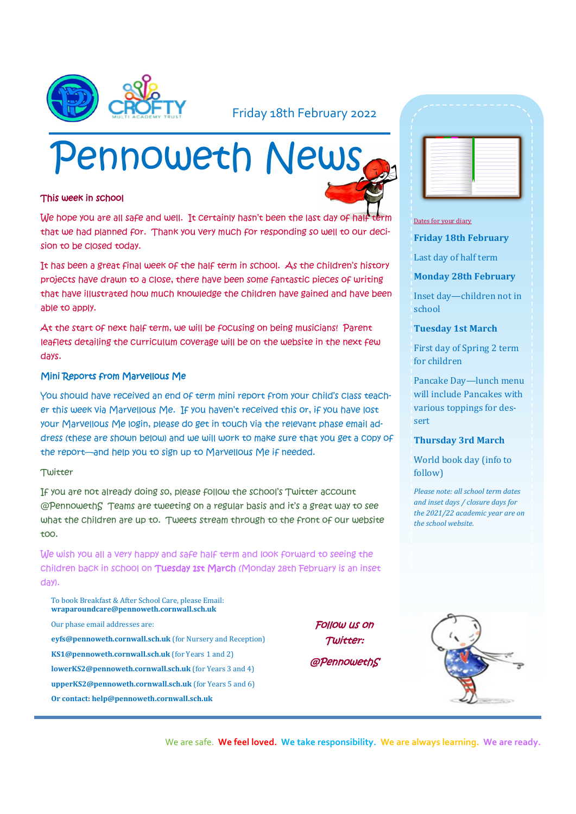

### Friday 18th February 2022

# Pennoweth News

#### This week in school

We hope you are all safe and well. It certainly hasn't been the last day of half that we had planned for. Thank you very much for responding so well to our decision to be closed today.

It has been a great final week of the half term in school. As the children's history projects have drawn to a close, there have been some fantastic pieces of writing that have illustrated how much knowledge the children have gained and have been able to apply.

At the start of next half term, we will be focusing on being musicians! Parent leaflets detailing the curriculum coverage will be on the website in the next few days.

#### Mini Reports from Marvellous Me

You should have received an end of term mini report from your child's class teacher this week via Marvellous Me. If you haven't received this or, if you have lost your Marvellous Me login, please do get in touch via the relevant phase email address (these are shown below) and we will work to make sure that you get a copy of the report—and help you to sign up to Marvellous Me if needed.

#### **Twitter**

If you are not already doing so, please follow the school's Twitter account @PennowethS Teams are tweeting on a regular basis and it's a great way to see what the children are up to. Tweets stream through to the front of our website too.

We wish you all a very happy and safe half term and look forward to seeing the children back in school on Tuesday 1st March (Monday 28th February is an inset day).

To book Breakfast & After School Care, please Email: **wraparoundcare@pennoweth.cornwall.sch.uk** Our phase email addresses are: **eyfs@pennoweth.cornwall.sch.uk** (for Nursery and Reception) **KS1@pennoweth.cornwall.sch.uk** (for Years 1 and 2) **lowerKS2@pennoweth.cornwall.sch.uk** (for Years 3 and 4) **upperKS2@pennoweth.cornwall.sch.uk** (for Years 5 and 6) **Or contact: help@pennoweth.cornwall.sch.uk**

Follow us on Twitter: @PennowethS

| -                         |   |
|---------------------------|---|
| ٠                         |   |
| -<br>÷                    |   |
| $\sim$                    |   |
| --<br>-<br>-              |   |
| ۰<br>$\frac{1}{2}$        |   |
| ÷<br>-                    | ۰ |
| ÷<br>$\sim$<br>--<br>-    | - |
|                           |   |
| -<br>-                    |   |
| -<br>$\rightarrow$<br>- 1 |   |

#### Dates for your diary

**Friday 18th February**

Last day of half term

#### **Monday 28th February**

Inset day—children not in school

#### **Tuesday 1st March**

First day of Spring 2 term for children

Pancake Day—lunch menu will include Pancakes with various toppings for dessert

#### **Thursday 3rd March**

World book day (info to follow)

*Please note: all school term dates and inset days / closure days for the 2021/22 academic year are on the school website.* 



We are safe. **We feel loved. We take responsibility. We are always learning. We are ready.**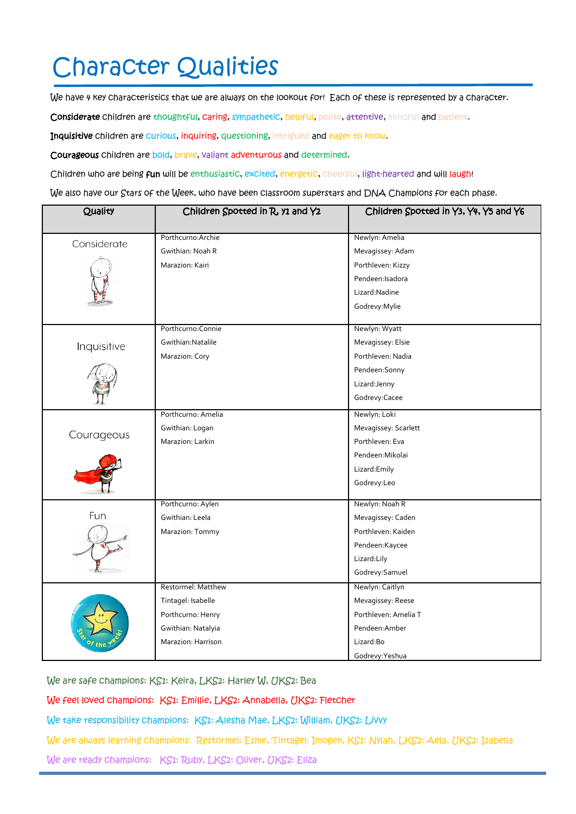## Character Qualities

We have 4 key characteristics that we are always on the lookout for! Each of these is represented by a character.

Considerate children are thoughtful, caring, sympathetic, helpful, polite, attentive, mindful and patient.

Inquisitive children are curious, inquiring, questioning, intrigued and eager to know.

Courageous children are bold, brave, valiant adventurous and determined.

Children who are being fun will be enthusiastic, excited, energetic, cheerful, light-hearted and will laugh!

We also have our Stars of the Week, who have been classroom superstars and DNA Champions for each phase.

| Quality     | Children Spotted in R, y1 and Y2 | Children Spotted in Y3, Y4, Y5 and Y6 |
|-------------|----------------------------------|---------------------------------------|
|             |                                  |                                       |
| Considerate | Porthcurno: Archie               | Newlyn: Amelia                        |
|             | Gwithian: Noah R                 | Mevagissey: Adam                      |
|             | Marazion: Kairi                  | Porthleven: Kizzy                     |
|             |                                  | Pendeen: Isadora                      |
|             |                                  | Lizard: Nadine                        |
|             |                                  | Godrevy: Mylie                        |
| Inquisitive | Porthcurno: Connie               | Newlyn: Wyatt                         |
|             | Gwithian: Natalile               | Mevagissey: Elsie                     |
|             | Marazion: Cory                   | Porthleven: Nadia                     |
|             |                                  | Pendeen: Sonny                        |
|             |                                  | Lizard: Jenny                         |
|             |                                  | Godrevy:Cacee                         |
| Courageous  | Porthcurno: Amelia               | Newlyn: Loki                          |
|             | Gwithian: Logan                  | Mevagissey: Scarlett                  |
|             | Marazion: Larkin                 | Porthleven: Eva                       |
|             |                                  | Pendeen: Mikolai                      |
|             |                                  | Lizard:Emily                          |
|             |                                  | Godrevy:Leo                           |
|             | Porthcurno: Aylen                | Newlyn: Noah R                        |
| Fun         | Gwithian: Leela                  | Mevagissey: Caden                     |
|             | Marazion: Tommy                  | Porthleven: Kaiden                    |
|             |                                  | Pendeen:Kaycee                        |
|             |                                  | Lizard:Lily                           |
|             |                                  | Godrevy: Samuel                       |
|             | Restormel: Matthew               | Newlyn: Caitlyn                       |
|             | Tintagel: Isabelle               | Mevagissey: Reese                     |
|             | Porthcurno: Henry                | Porthleven: Amelia T                  |
|             | Gwithian: Natalyia               | Pendeen: Amber                        |
|             | Marazion: Harrison               | Lizard:Bo                             |
|             |                                  | Godrevy: Yeshua                       |

We are safe champions: KS1: Keira, LKS2: Harley W, UKS2: Bea

We feel loved champions: KS1: Emillie, LKS2: Annabella, UKS2: Fletcher

We take responsibility champions: KS1: Alesha Mae, LKS2: William, UKS2: Livvy

We are always learning champions: Restormel: Esme, Tintagel: Imogen, KS1: Nylah, LKS2: Aela, UKS2: Isabella

We are ready champions: KS1: Ruby, LKS2: Oliver, UKS2: Eliza